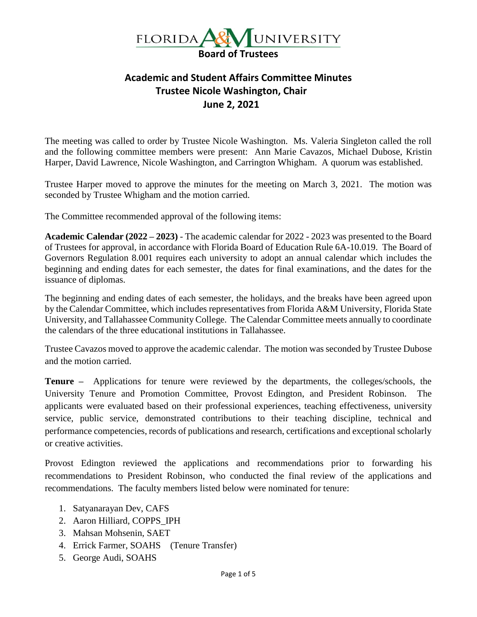

## **Academic and Student Affairs Committee Minutes Trustee Nicole Washington, Chair June 2, 2021**

The meeting was called to order by Trustee Nicole Washington. Ms. Valeria Singleton called the roll and the following committee members were present: Ann Marie Cavazos, Michael Dubose, Kristin Harper, David Lawrence, Nicole Washington, and Carrington Whigham. A quorum was established.

Trustee Harper moved to approve the minutes for the meeting on March 3, 2021. The motion was seconded by Trustee Whigham and the motion carried.

The Committee recommended approval of the following items:

**Academic Calendar (2022 – 2023)** - The academic calendar for 2022 - 2023 was presented to the Board of Trustees for approval, in accordance with Florida Board of Education Rule 6A-10.019. The Board of Governors Regulation 8.001 requires each university to adopt an annual calendar which includes the beginning and ending dates for each semester, the dates for final examinations, and the dates for the issuance of diplomas.

The beginning and ending dates of each semester, the holidays, and the breaks have been agreed upon by the Calendar Committee, which includes representatives from Florida A&M University, Florida State University, and Tallahassee Community College. The Calendar Committee meets annually to coordinate the calendars of the three educational institutions in Tallahassee.

Trustee Cavazos moved to approve the academic calendar. The motion was seconded by Trustee Dubose and the motion carried.

**Tenure –** Applications for tenure were reviewed by the departments, the colleges/schools, the University Tenure and Promotion Committee, Provost Edington, and President Robinson. The applicants were evaluated based on their professional experiences, teaching effectiveness, university service, public service, demonstrated contributions to their teaching discipline, technical and performance competencies, records of publications and research, certifications and exceptional scholarly or creative activities.

Provost Edington reviewed the applications and recommendations prior to forwarding his recommendations to President Robinson, who conducted the final review of the applications and recommendations. The faculty members listed below were nominated for tenure:

- 1. Satyanarayan Dev, CAFS
- 2. Aaron Hilliard, COPPS\_IPH
- 3. Mahsan Mohsenin, SAET
- 4. Errick Farmer, SOAHS (Tenure Transfer)
- 5. George Audi, SOAHS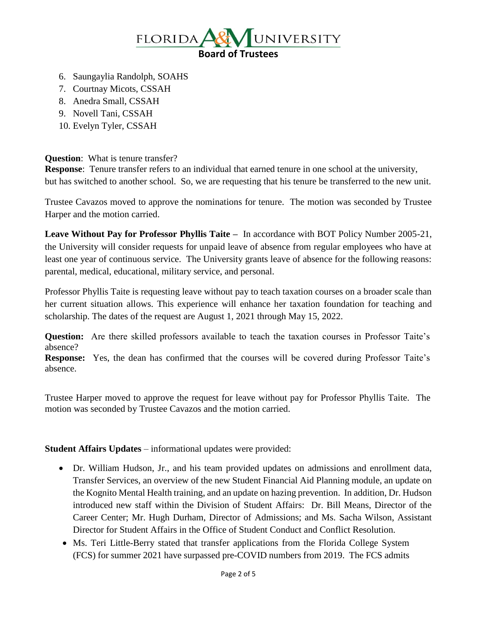

- 6. Saungaylia Randolph, SOAHS
- 7. Courtnay Micots, CSSAH
- 8. Anedra Small, CSSAH
- 9. Novell Tani, CSSAH
- 10. Evelyn Tyler, CSSAH

## **Question:** What is tenure transfer?

**Response**: Tenure transfer refers to an individual that earned tenure in one school at the university, but has switched to another school. So, we are requesting that his tenure be transferred to the new unit.

Trustee Cavazos moved to approve the nominations for tenure. The motion was seconded by Trustee Harper and the motion carried.

**Leave Without Pay for Professor Phyllis Taite –** In accordance with BOT Policy Number 2005-21, the University will consider requests for unpaid leave of absence from regular employees who have at least one year of continuous service. The University grants leave of absence for the following reasons: parental, medical, educational, military service, and personal.

Professor Phyllis Taite is requesting leave without pay to teach taxation courses on a broader scale than her current situation allows. This experience will enhance her taxation foundation for teaching and scholarship. The dates of the request are August 1, 2021 through May 15, 2022.

**Question:** Are there skilled professors available to teach the taxation courses in Professor Taite's absence?

**Response:** Yes, the dean has confirmed that the courses will be covered during Professor Taite's absence.

Trustee Harper moved to approve the request for leave without pay for Professor Phyllis Taite. The motion was seconded by Trustee Cavazos and the motion carried.

**Student Affairs Updates** – informational updates were provided:

- Dr. William Hudson, Jr., and his team provided updates on admissions and enrollment data, Transfer Services, an overview of the new Student Financial Aid Planning module, an update on the Kognito Mental Health training, and an update on hazing prevention. In addition, Dr. Hudson introduced new staff within the Division of Student Affairs: Dr. Bill Means, Director of the Career Center; Mr. Hugh Durham, Director of Admissions; and Ms. Sacha Wilson, Assistant Director for Student Affairs in the Office of Student Conduct and Conflict Resolution.
- Ms. Teri Little-Berry stated that transfer applications from the Florida College System (FCS) for summer 2021 have surpassed pre-COVID numbers from 2019. The FCS admits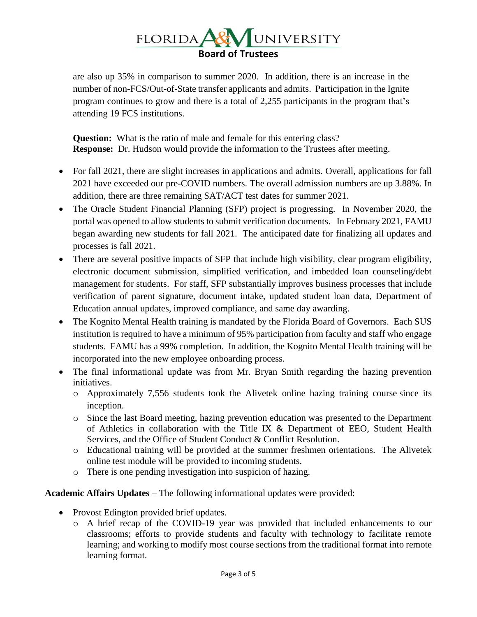## UNIVERSITY  $FLORIDA$ **Board of Trustees**

are also up 35% in comparison to summer 2020. In addition, there is an increase in the number of non-FCS/Out-of-State transfer applicants and admits. Participation in the Ignite program continues to grow and there is a total of 2,255 participants in the program that's attending 19 FCS institutions.

**Question:** What is the ratio of male and female for this entering class? **Response:** Dr. Hudson would provide the information to the Trustees after meeting.

- For fall 2021, there are slight increases in applications and admits. Overall, applications for fall 2021 have exceeded our pre-COVID numbers. The overall admission numbers are up 3.88%. In addition, there are three remaining SAT/ACT test dates for summer 2021.
- The Oracle Student Financial Planning (SFP) project is progressing. In November 2020, the portal was opened to allow students to submit verification documents. In February 2021, FAMU began awarding new students for fall 2021. The anticipated date for finalizing all updates and processes is fall 2021.
- There are several positive impacts of SFP that include high visibility, clear program eligibility, electronic document submission, simplified verification, and imbedded loan counseling/debt management for students. For staff, SFP substantially improves business processes that include verification of parent signature, document intake, updated student loan data, Department of Education annual updates, improved compliance, and same day awarding.
- The Kognito Mental Health training is mandated by the Florida Board of Governors. Each SUS institution is required to have a minimum of 95% participation from faculty and staff who engage students. FAMU has a 99% completion. In addition, the Kognito Mental Health training will be incorporated into the new employee onboarding process.
- The final informational update was from Mr. Bryan Smith regarding the hazing prevention initiatives.
	- o Approximately 7,556 students took the Alivetek online hazing training course since its inception.
	- o Since the last Board meeting, hazing prevention education was presented to the Department of Athletics in collaboration with the Title IX & Department of EEO, Student Health Services, and the Office of Student Conduct & Conflict Resolution.
	- o Educational training will be provided at the summer freshmen orientations. The Alivetek online test module will be provided to incoming students.
	- o There is one pending investigation into suspicion of hazing.

**Academic Affairs Updates** – The following informational updates were provided:

- Provost Edington provided brief updates.
	- o A brief recap of the COVID-19 year was provided that included enhancements to our classrooms; efforts to provide students and faculty with technology to facilitate remote learning; and working to modify most course sections from the traditional format into remote learning format.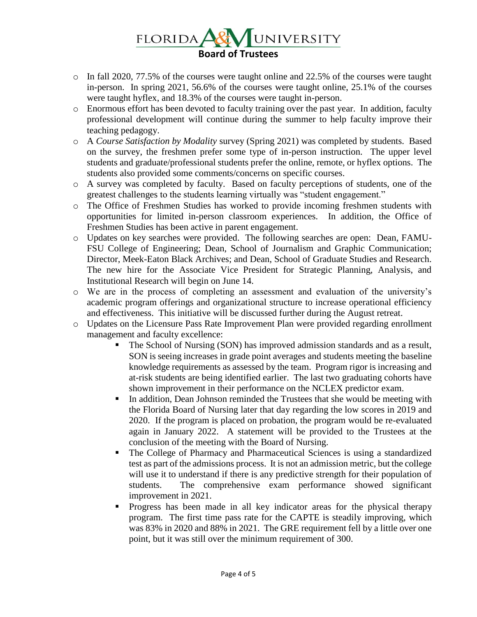## UNIVERSITY  $FLORIDA$ **Board of Trustees**

- o In fall 2020, 77.5% of the courses were taught online and 22.5% of the courses were taught in-person. In spring 2021, 56.6% of the courses were taught online, 25.1% of the courses were taught hyflex, and 18.3% of the courses were taught in-person.
- o Enormous effort has been devoted to faculty training over the past year. In addition, faculty professional development will continue during the summer to help faculty improve their teaching pedagogy.
- o A *Course Satisfaction by Modality* survey (Spring 2021) was completed by students. Based on the survey, the freshmen prefer some type of in-person instruction. The upper level students and graduate/professional students prefer the online, remote, or hyflex options. The students also provided some comments/concerns on specific courses.
- o A survey was completed by faculty. Based on faculty perceptions of students, one of the greatest challenges to the students learning virtually was "student engagement."
- o The Office of Freshmen Studies has worked to provide incoming freshmen students with opportunities for limited in-person classroom experiences. In addition, the Office of Freshmen Studies has been active in parent engagement.
- o Updates on key searches were provided. The following searches are open: Dean, FAMU-FSU College of Engineering; Dean, School of Journalism and Graphic Communication; Director, Meek-Eaton Black Archives; and Dean, School of Graduate Studies and Research. The new hire for the Associate Vice President for Strategic Planning, Analysis, and Institutional Research will begin on June 14.
- o We are in the process of completing an assessment and evaluation of the university's academic program offerings and organizational structure to increase operational efficiency and effectiveness. This initiative will be discussed further during the August retreat.
- o Updates on the Licensure Pass Rate Improvement Plan were provided regarding enrollment management and faculty excellence:
	- The School of Nursing (SON) has improved admission standards and as a result, SON is seeing increases in grade point averages and students meeting the baseline knowledge requirements as assessed by the team. Program rigor is increasing and at-risk students are being identified earlier. The last two graduating cohorts have shown improvement in their performance on the NCLEX predictor exam.
	- **•** In addition, Dean Johnson reminded the Trustees that she would be meeting with the Florida Board of Nursing later that day regarding the low scores in 2019 and 2020. If the program is placed on probation, the program would be re-evaluated again in January 2022. A statement will be provided to the Trustees at the conclusion of the meeting with the Board of Nursing.
	- The College of Pharmacy and Pharmaceutical Sciences is using a standardized test as part of the admissions process. It is not an admission metric, but the college will use it to understand if there is any predictive strength for their population of students. The comprehensive exam performance showed significant improvement in 2021.
	- Progress has been made in all key indicator areas for the physical therapy program. The first time pass rate for the CAPTE is steadily improving, which was 83% in 2020 and 88% in 2021. The GRE requirement fell by a little over one point, but it was still over the minimum requirement of 300.